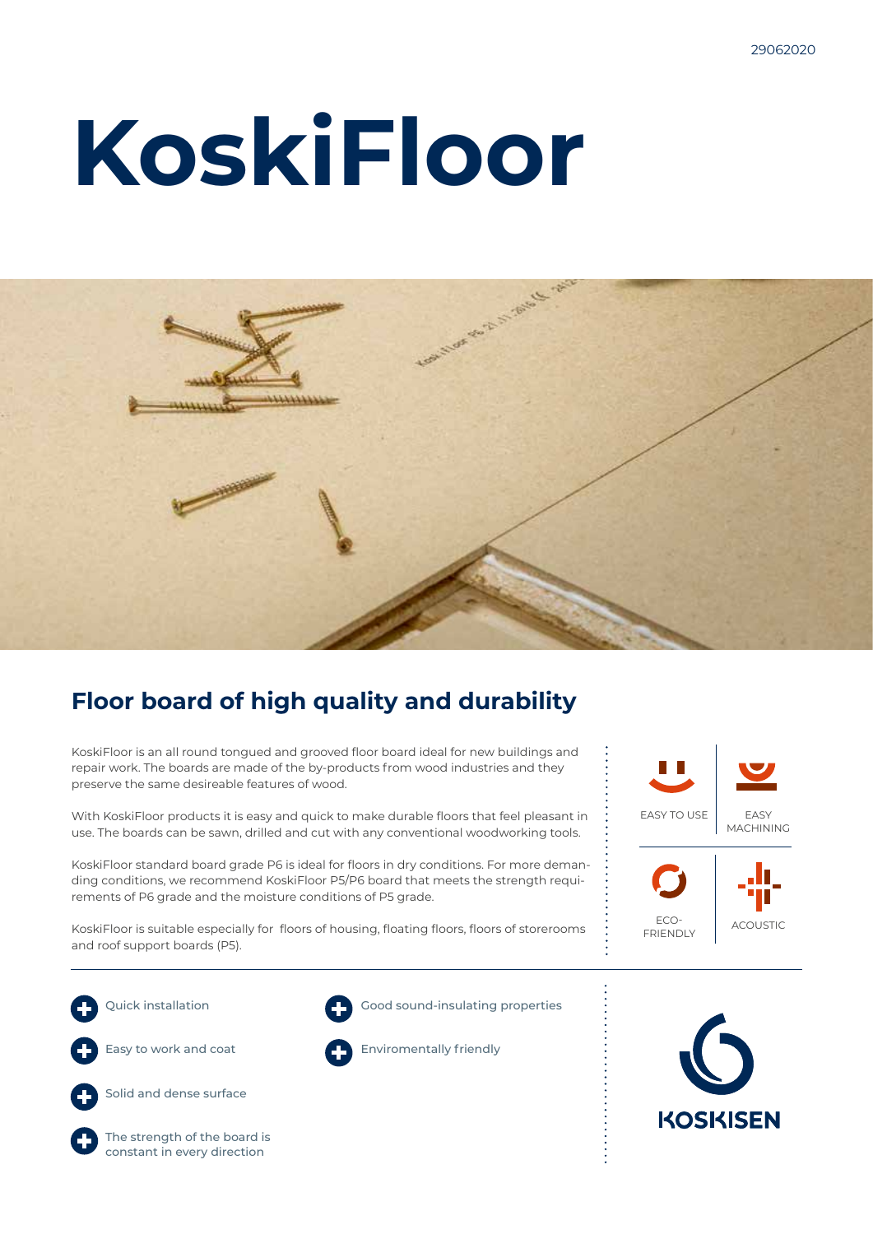# **KoskiFloor**



## **Floor board of high quality and durability**

KoskiFloor is an all round tongued and grooved floor board ideal for new buildings and repair work. The boards are made of the by-products from wood industries and they preserve the same desireable features of wood.

With KoskiFloor products it is easy and quick to make durable floors that feel pleasant in use. The boards can be sawn, drilled and cut with any conventional woodworking tools.

KoskiFloor standard board grade P6 is ideal for floors in dry conditions. For more demanding conditions, we recommend KoskiFloor P5/P6 board that meets the strength requirements of P6 grade and the moisture conditions of P5 grade.

KoskiFloor is suitable especially for floors of housing, floating floors, floors of storerooms and roof support boards (P5).





Quick installation



Easy to work and coat



Solid and dense surface





Good sound-insulating properties



Enviromentally friendly